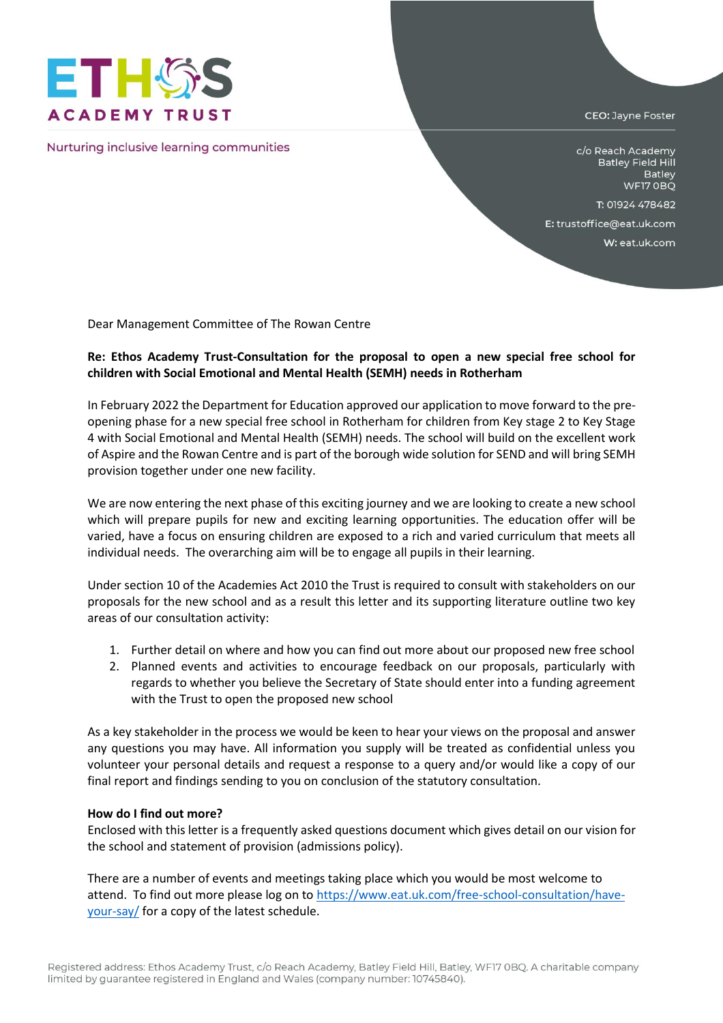

Nurturing inclusive learning communities

CEO: Jayne Foster

c/o Reach Academy **Batley Field Hill** Batley WF17 OBQ

T: 01924 478482

E: trustoffice@eat.uk.com

W: eat.uk.com

Dear Management Committee of The Rowan Centre

## **Re: Ethos Academy Trust-Consultation for the proposal to open a new special free school for children with Social Emotional and Mental Health (SEMH) needs in Rotherham**

In February 2022 the Department for Education approved our application to move forward to the preopening phase for a new special free school in Rotherham for children from Key stage 2 to Key Stage 4 with Social Emotional and Mental Health (SEMH) needs. The school will build on the excellent work of Aspire and the Rowan Centre and is part of the borough wide solution for SEND and will bring SEMH provision together under one new facility.

We are now entering the next phase of this exciting journey and we are looking to create a new school which will prepare pupils for new and exciting learning opportunities. The education offer will be varied, have a focus on ensuring children are exposed to a rich and varied curriculum that meets all individual needs. The overarching aim will be to engage all pupils in their learning.

Under section 10 of the Academies Act 2010 the Trust is required to consult with stakeholders on our proposals for the new school and as a result this letter and its supporting literature outline two key areas of our consultation activity:

- 1. Further detail on where and how you can find out more about our proposed new free school
- 2. Planned events and activities to encourage feedback on our proposals, particularly with regards to whether you believe the Secretary of State should enter into a funding agreement with the Trust to open the proposed new school

As a key stakeholder in the process we would be keen to hear your views on the proposal and answer any questions you may have. All information you supply will be treated as confidential unless you volunteer your personal details and request a response to a query and/or would like a copy of our final report and findings sending to you on conclusion of the statutory consultation.

## **How do I find out more?**

Enclosed with this letter is a frequently asked questions document which gives detail on our vision for the school and statement of provision (admissions policy).

There are a number of events and meetings taking place which you would be most welcome to attend. To find out more please log on t[o https://www.eat.uk.com/free-school-consultation/have](https://www.eat.uk.com/free-school-consultation/have-your-say/)[your-say/](https://www.eat.uk.com/free-school-consultation/have-your-say/) for a copy of the latest schedule.